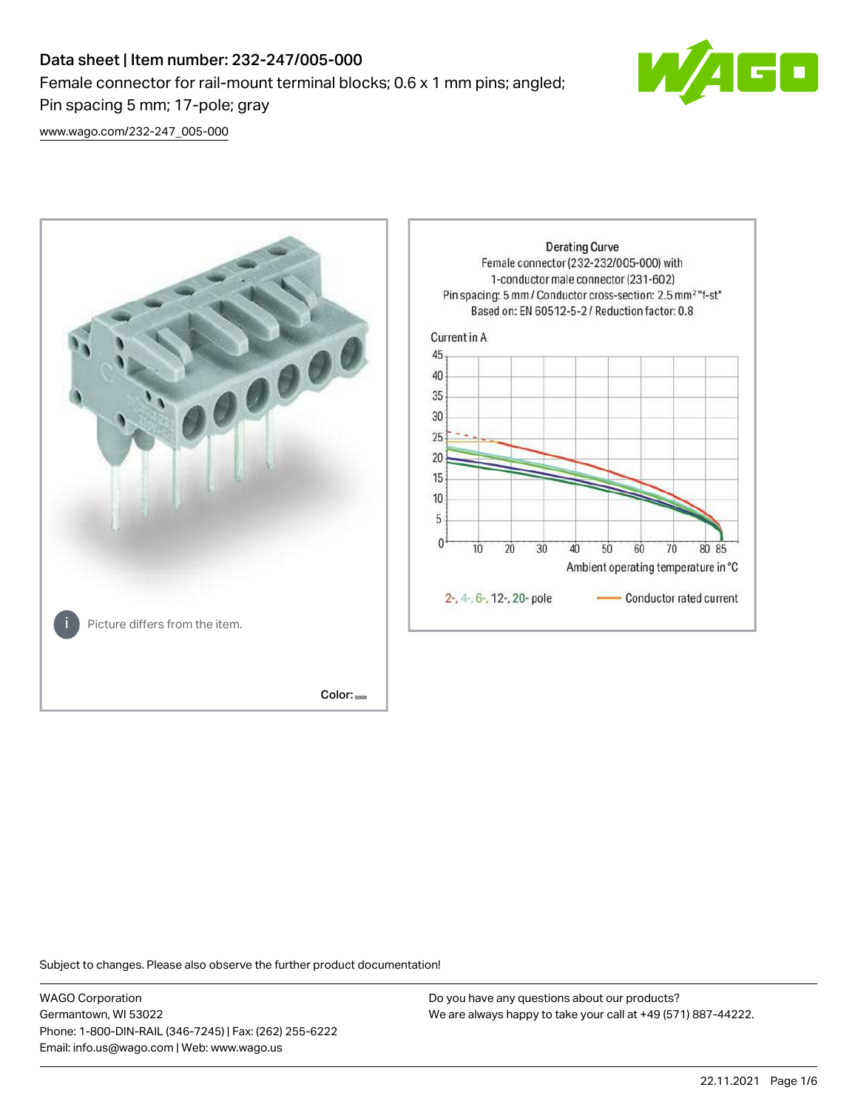# Data sheet | Item number: 232-247/005-000 Female connector for rail-mount terminal blocks; 0.6 x 1 mm pins; angled; Pin spacing 5 mm; 17-pole; gray



[www.wago.com/232-247\\_005-000](http://www.wago.com/232-247_005-000)



Subject to changes. Please also observe the further product documentation!

WAGO Corporation Germantown, WI 53022 Phone: 1-800-DIN-RAIL (346-7245) | Fax: (262) 255-6222 Email: info.us@wago.com | Web: www.wago.us

Do you have any questions about our products? We are always happy to take your call at +49 (571) 887-44222.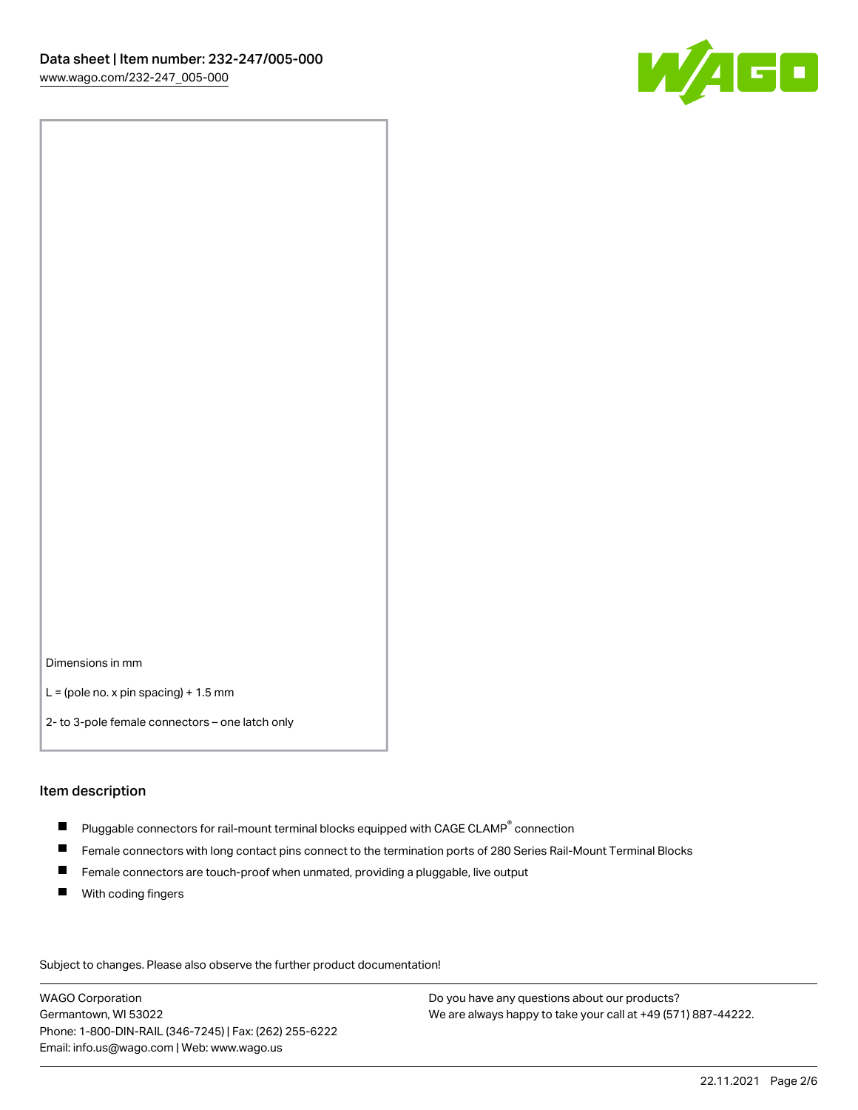

Dimensions in mm

 $L =$  (pole no. x pin spacing) + 1.5 mm

2- to 3-pole female connectors – one latch only

#### Item description

- $\blacksquare$  Pluggable connectors for rail-mount terminal blocks equipped with CAGE CLAMP $^\circ$  connection
- Female connectors with long contact pins connect to the termination ports of 280 Series Rail-Mount Terminal Blocks
- $\blacksquare$ Female connectors are touch-proof when unmated, providing a pluggable, live output
- $\blacksquare$ With coding fingers

Subject to changes. Please also observe the further product documentation! Data

WAGO Corporation Germantown, WI 53022 Phone: 1-800-DIN-RAIL (346-7245) | Fax: (262) 255-6222 Email: info.us@wago.com | Web: www.wago.us

Do you have any questions about our products? We are always happy to take your call at +49 (571) 887-44222.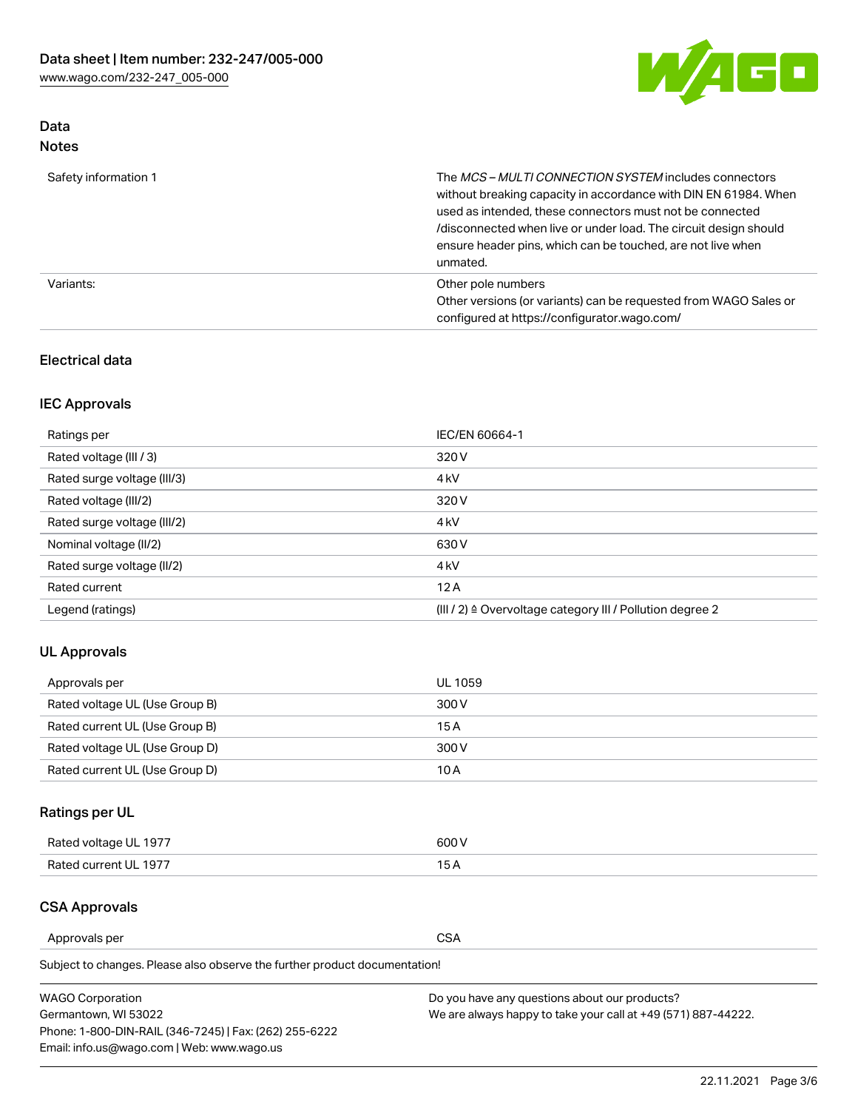

# Data Notes

| Safety information 1 | The MCS-MULTI CONNECTION SYSTEM includes connectors<br>without breaking capacity in accordance with DIN EN 61984. When<br>used as intended, these connectors must not be connected<br>/disconnected when live or under load. The circuit design should<br>ensure header pins, which can be touched, are not live when<br>unmated. |
|----------------------|-----------------------------------------------------------------------------------------------------------------------------------------------------------------------------------------------------------------------------------------------------------------------------------------------------------------------------------|
| Variants:            | Other pole numbers<br>Other versions (or variants) can be requested from WAGO Sales or<br>configured at https://configurator.wago.com/                                                                                                                                                                                            |

## Electrical data

# IEC Approvals

| Ratings per                 | IEC/EN 60664-1                                                        |
|-----------------------------|-----------------------------------------------------------------------|
| Rated voltage (III / 3)     | 320 V                                                                 |
| Rated surge voltage (III/3) | 4 <sub>k</sub> V                                                      |
| Rated voltage (III/2)       | 320 V                                                                 |
| Rated surge voltage (III/2) | 4 <sub>k</sub> V                                                      |
| Nominal voltage (II/2)      | 630 V                                                                 |
| Rated surge voltage (II/2)  | 4 <sub>k</sub> V                                                      |
| Rated current               | 12A                                                                   |
| Legend (ratings)            | $(III / 2)$ $\triangle$ Overvoltage category III / Pollution degree 2 |

# UL Approvals

| Approvals per                  | UL 1059 |
|--------------------------------|---------|
| Rated voltage UL (Use Group B) | 300 V   |
| Rated current UL (Use Group B) | 15 A    |
| Rated voltage UL (Use Group D) | 300 V   |
| Rated current UL (Use Group D) | 10 A    |

# Ratings per UL

| Rated voltage UL 1977 | 500 V |
|-----------------------|-------|
| Rated current UL 1977 | . .   |

# CSA Approvals

Approvals per CSA

Subject to changes. Please also observe the further product documentation!

| <b>WAGO Corporation</b>                                | Do you have any questions about our products?                 |
|--------------------------------------------------------|---------------------------------------------------------------|
| Germantown, WI 53022                                   | We are always happy to take your call at +49 (571) 887-44222. |
| Phone: 1-800-DIN-RAIL (346-7245)   Fax: (262) 255-6222 |                                                               |
| Email: info.us@wago.com   Web: www.wago.us             |                                                               |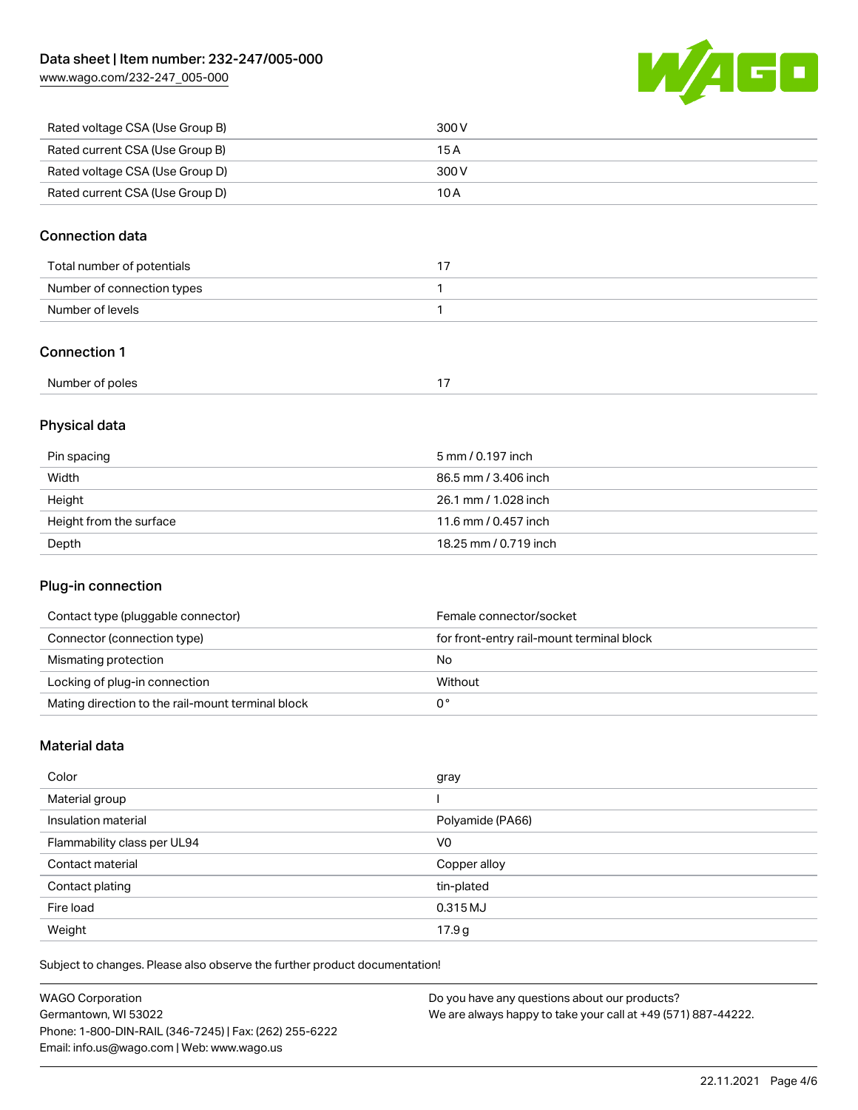[www.wago.com/232-247\\_005-000](http://www.wago.com/232-247_005-000)



| Rated voltage CSA (Use Group B) | 300 V |
|---------------------------------|-------|
| Rated current CSA (Use Group B) | 15 A  |
| Rated voltage CSA (Use Group D) | 300 V |
| Rated current CSA (Use Group D) | 10 A  |

## Connection data

| Total number of potentials |  |
|----------------------------|--|
| Number of connection types |  |
| Number of levels           |  |

## Connection 1

# Physical data

| Pin spacing             | 5 mm / 0.197 inch     |
|-------------------------|-----------------------|
| Width                   | 86.5 mm / 3.406 inch  |
| Height                  | 26.1 mm / 1.028 inch  |
| Height from the surface | 11.6 mm / 0.457 inch  |
| Depth                   | 18.25 mm / 0.719 inch |

## Plug-in connection

| Contact type (pluggable connector)                | Female connector/socket                   |
|---------------------------------------------------|-------------------------------------------|
| Connector (connection type)                       | for front-entry rail-mount terminal block |
| Mismating protection                              | No                                        |
| Locking of plug-in connection                     | Without                                   |
| Mating direction to the rail-mount terminal block |                                           |

#### Material data

| Color                       | gray             |
|-----------------------------|------------------|
| Material group              |                  |
| Insulation material         | Polyamide (PA66) |
| Flammability class per UL94 | V <sub>0</sub>   |
| Contact material            | Copper alloy     |
| Contact plating             | tin-plated       |
| Fire load                   | 0.315 MJ         |
| Weight                      | 17.9g            |

Subject to changes. Please also observe the further product documentation!

| <b>WAGO Corporation</b>                                | Do you have any questions about our products?                 |
|--------------------------------------------------------|---------------------------------------------------------------|
| Germantown, WI 53022                                   | We are always happy to take your call at +49 (571) 887-44222. |
| Phone: 1-800-DIN-RAIL (346-7245)   Fax: (262) 255-6222 |                                                               |
| Email: info.us@wago.com   Web: www.wago.us             |                                                               |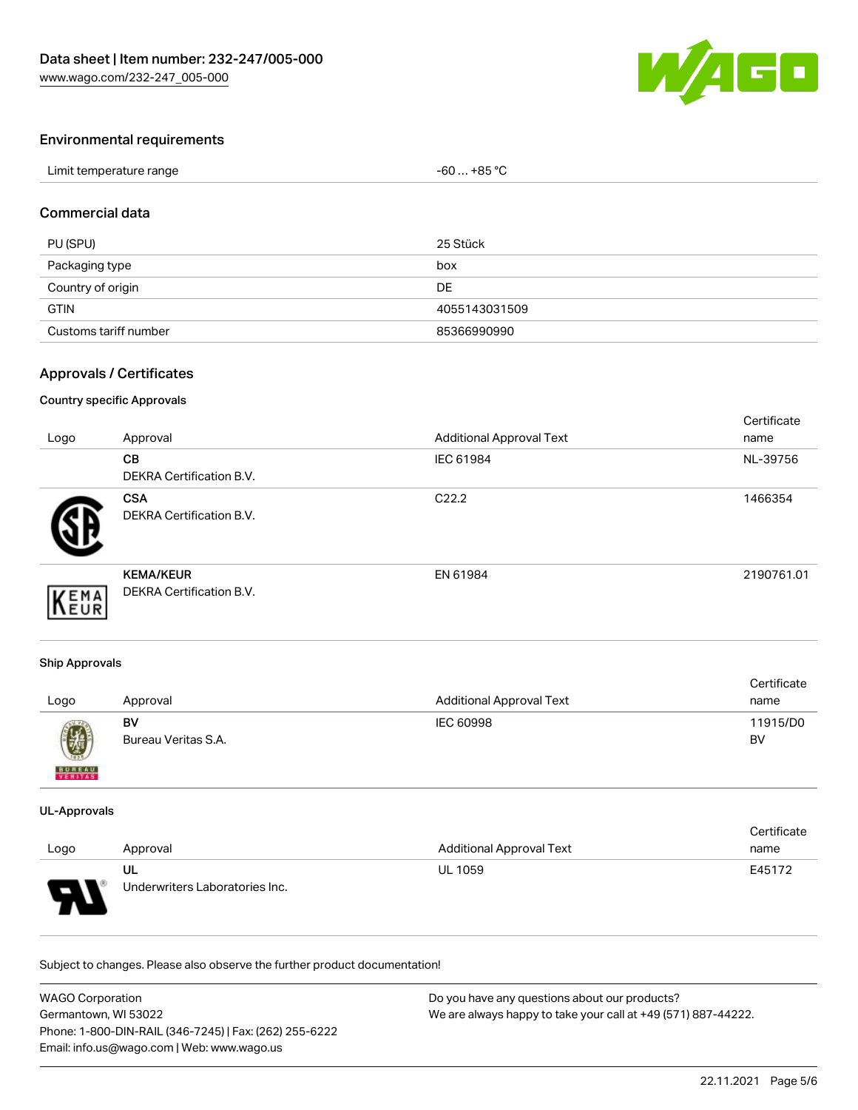

## Environmental requirements

| Limit temperature range | $-60+85 °C$ |
|-------------------------|-------------|
|-------------------------|-------------|

## Commercial data

| PU (SPU)              | 25 Stück      |
|-----------------------|---------------|
| Packaging type        | box           |
| Country of origin     | <b>DE</b>     |
| <b>GTIN</b>           | 4055143031509 |
| Customs tariff number | 85366990990   |

#### Approvals / Certificates

#### Country specific Approvals

| Logo | Approval                                     | <b>Additional Approval Text</b> | Certificate<br>name |
|------|----------------------------------------------|---------------------------------|---------------------|
|      | CB<br><b>DEKRA Certification B.V.</b>        | IEC 61984                       | NL-39756            |
|      | <b>CSA</b><br>DEKRA Certification B.V.       | C <sub>22.2</sub>               | 1466354             |
| EMA  | <b>KEMA/KEUR</b><br>DEKRA Certification B.V. | EN 61984                        | 2190761.01          |

#### Ship Approvals

| Logo          | Approval            | <b>Additional Approval Text</b> | Certificate<br>name |
|---------------|---------------------|---------------------------------|---------------------|
| Ø             | BV                  | IEC 60998                       | 11915/D0            |
| <b>BUREAU</b> | Bureau Veritas S.A. |                                 | <b>BV</b>           |

#### UL-Approvals

|        |                                |                          | Certificate |
|--------|--------------------------------|--------------------------|-------------|
| Logo   | Approval                       | Additional Approval Text | name        |
|        | UL                             | <b>UL 1059</b>           | E45172      |
| $\Box$ | Underwriters Laboratories Inc. |                          |             |

Subject to changes. Please also observe the further product documentation!

| WAGO Corporation                                       | Do you have any questions about our products?                 |
|--------------------------------------------------------|---------------------------------------------------------------|
| Germantown, WI 53022                                   | We are always happy to take your call at +49 (571) 887-44222. |
| Phone: 1-800-DIN-RAIL (346-7245)   Fax: (262) 255-6222 |                                                               |
| Email: info.us@wago.com   Web: www.wago.us             |                                                               |